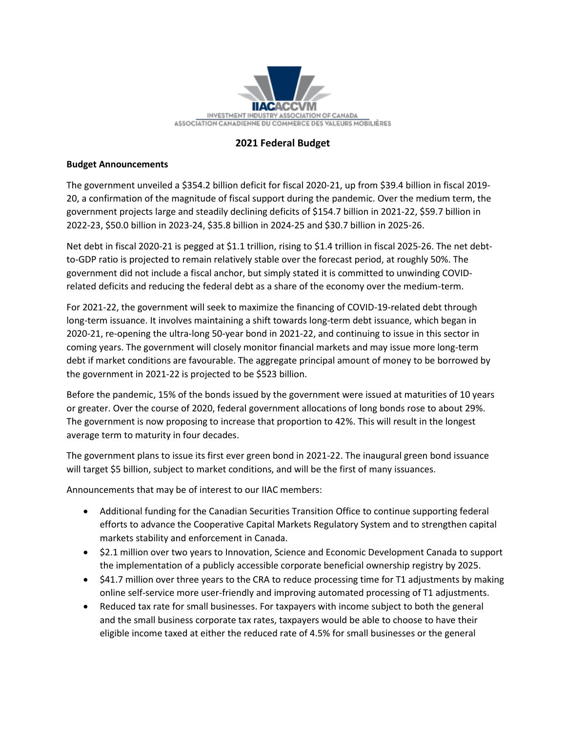

## **2021 Federal Budget**

## **Budget Announcements**

The government unveiled a \$354.2 billion deficit for fiscal 2020-21, up from \$39.4 billion in fiscal 2019- 20, a confirmation of the magnitude of fiscal support during the pandemic. Over the medium term, the government projects large and steadily declining deficits of \$154.7 billion in 2021-22, \$59.7 billion in 2022-23, \$50.0 billion in 2023-24, \$35.8 billion in 2024-25 and \$30.7 billion in 2025-26.

Net debt in fiscal 2020-21 is pegged at \$1.1 trillion, rising to \$1.4 trillion in fiscal 2025-26. The net debtto-GDP ratio is projected to remain relatively stable over the forecast period, at roughly 50%. The government did not include a fiscal anchor, but simply stated it is committed to unwinding COVIDrelated deficits and reducing the federal debt as a share of the economy over the medium-term.

For 2021-22, the government will seek to maximize the financing of COVID-19-related debt through long-term issuance. It involves maintaining a shift towards long-term debt issuance, which began in 2020-21, re-opening the ultra-long 50-year bond in 2021-22, and continuing to issue in this sector in coming years. The government will closely monitor financial markets and may issue more long-term debt if market conditions are favourable. The aggregate principal amount of money to be borrowed by the government in 2021-22 is projected to be \$523 billion.

Before the pandemic, 15% of the bonds issued by the government were issued at maturities of 10 years or greater. Over the course of 2020, federal government allocations of long bonds rose to about 29%. The government is now proposing to increase that proportion to 42%. This will result in the longest average term to maturity in four decades.

The government plans to issue its first ever green bond in 2021-22. The inaugural green bond issuance will target \$5 billion, subject to market conditions, and will be the first of many issuances.

Announcements that may be of interest to our IIAC members:

- Additional funding for the Canadian Securities Transition Office to continue supporting federal efforts to advance the Cooperative Capital Markets Regulatory System and to strengthen capital markets stability and enforcement in Canada.
- \$2.1 million over two years to Innovation, Science and Economic Development Canada to support the implementation of a publicly accessible corporate beneficial ownership registry by 2025.
- \$41.7 million over three years to the CRA to reduce processing time for T1 adjustments by making online self-service more user-friendly and improving automated processing of T1 adjustments.
- Reduced tax rate for small businesses. For taxpayers with income subject to both the general and the small business corporate tax rates, taxpayers would be able to choose to have their eligible income taxed at either the reduced rate of 4.5% for small businesses or the general